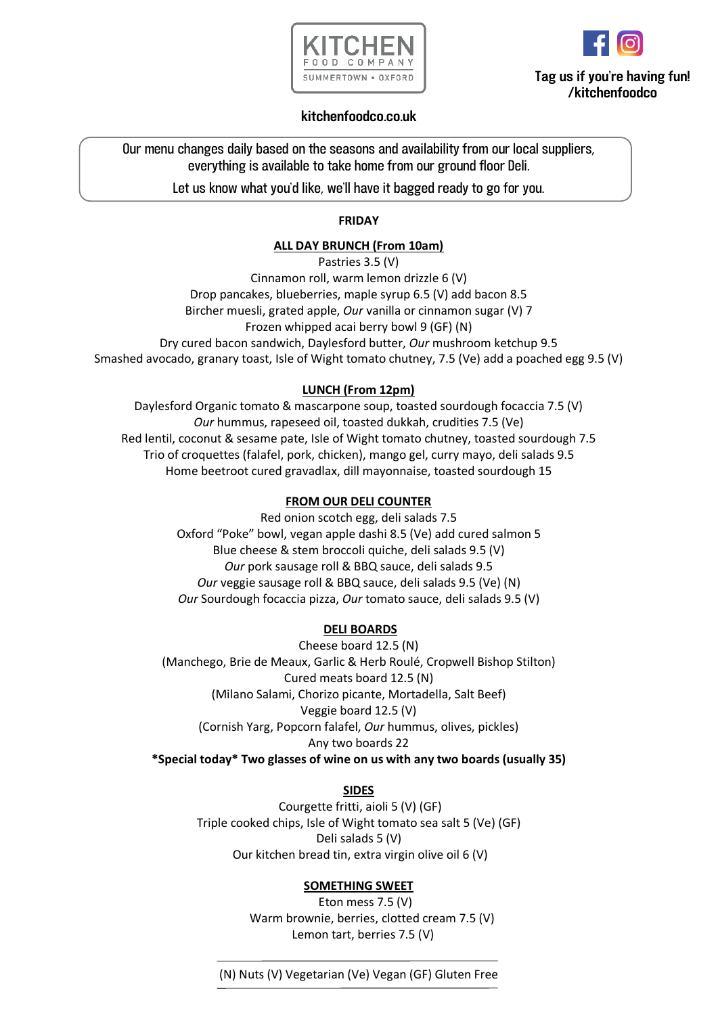



# **Tag us if you're having fun! /kitchenfoodco**

## **kitchenfoodco.co.uk**

Our menu changes daily based on the seasons and availability from our local suppliers, everything is available to take home from our ground floor Deli.

Let us know what you'd like, we'll have it bagged ready to go for you.

## **FRIDAY**

## **ALL DAY BRUNCH (From 10am)**

Pastries 3.5 (V) Cinnamon roll, warm lemon drizzle 6 (V) Drop pancakes, blueberries, maple syrup 6.5 (V) add bacon 8.5 Bircher muesli, grated apple, *Our* vanilla or cinnamon sugar (V) 7 Frozen whipped acai berry bowl 9 (GF) (N) Dry cured bacon sandwich, Daylesford butter, *Our* mushroom ketchup 9.5 Smashed avocado, granary toast, Isle of Wight tomato chutney, 7.5 (Ve) add a poached egg 9.5 (V)

## **LUNCH (From 12pm)**

Daylesford Organic tomato & mascarpone soup, toasted sourdough focaccia 7.5 (V) *Our* hummus, rapeseed oil, toasted dukkah, crudities 7.5 (Ve) Red lentil, coconut & sesame pate, Isle of Wight tomato chutney, toasted sourdough 7.5 Trio of croquettes (falafel, pork, chicken), mango gel, curry mayo, deli salads 9.5 Home beetroot cured gravadlax, dill mayonnaise, toasted sourdough 15

## **FROM OUR DELI COUNTER**

Red onion scotch egg, deli salads 7.5 Oxford "Poke" bowl, vegan apple dashi 8.5 (Ve) add cured salmon 5 Blue cheese & stem broccoli quiche, deli salads 9.5 (V) *Our* pork sausage roll & BBQ sauce, deli salads 9.5 *Our* veggie sausage roll & BBQ sauce, deli salads 9.5 (Ve) (N) *Our* Sourdough focaccia pizza, *Our* tomato sauce, deli salads 9.5 (V)

## **DELI BOARDS**

Cheese board 12.5 (N) (Manchego, Brie de Meaux, Garlic & Herb Roulé, Cropwell Bishop Stilton) Cured meats board 12.5 (N) (Milano Salami, Chorizo picante, Mortadella, Salt Beef) Veggie board 12.5 (V) (Cornish Yarg, Popcorn falafel, *Our* hummus, olives, pickles) Any two boards 22 **\*Special today\* Two glasses of wine on us with any two boards (usually 35)**

## **SIDES**

Courgette fritti, aioli 5 (V) (GF) Triple cooked chips, Isle of Wight tomato sea salt 5 (Ve) (GF) Deli salads 5 (V) Our kitchen bread tin, extra virgin olive oil 6 (V)

## **SOMETHING SWEET**

 Eton mess 7.5 (V) Warm brownie, berries, clotted cream 7.5 (V) Lemon tart, berries 7.5 (V)

(N) Nuts (V) Vegetarian (Ve) Vegan (GF) Gluten Free